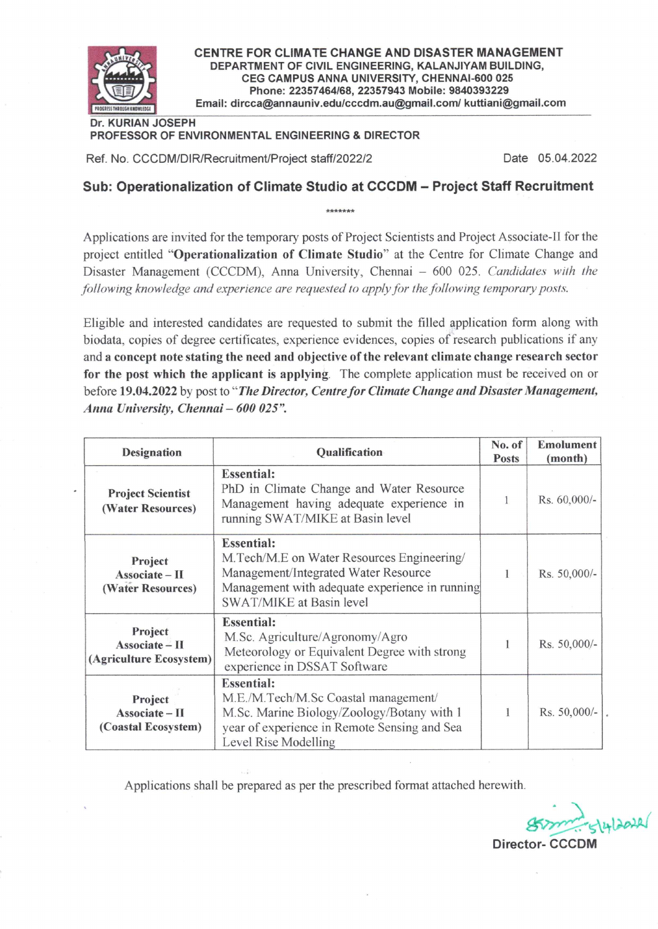

CENTRE FOR CLIMATE CHANGE AND DISASTER MANAGEMENT DEPARTMENT OF CIVIL ENGINEERING, KALANJIYAM BUILDING, CEG CAMPUS ANNA UNIVERSITY, CHENNAI-600 025 Phone: 22357464/68, 22357943 Mobile: 9840393229 Email: dircca@annauniv.edu/cccdm.au@gmail.com/ kuttiani@gmail.com

#### Dr. KURIAN JOSEPH PROFESSOR OF ENVIRONMENTAL ENGINEERING & DIRECTOR

Ref. No. CCCDM/DIR/Recruitment/Project staff/2022/2

Date 05.04.2022

# Sub: Operationalization of Climate Studio at CCCDM - Project Staff Recruitment

Applications are invited for the temporary posts of Project Scientists and Project Associate-II for the project entitled "Operationalization of Climate Studio" at the Centre for Climate Change and Disaster Management (CCCDM), Anna University, Chennai - 600 025. Candidates with the following knowledge and experience are requested to apply for the following temporary posts.

Eligible and interested candidates are requested to submit the filled application form along with biodata, copies of degree certificates, experience evidences, copies of research publications if any and a concept note stating the need and objective of the relevant climate change research sector for the post which the applicant is applying. The complete application must be received on or before 19.04.2022 by post to "The Director, Centre for Climate Change and Disaster Management, Anna University, Chennai - 600 025".

| <b>Designation</b>                            | Qualification                                                                                                                                                                                                                                                                                                                                                                                                                                                                                                                                                                                                                                                                                                                                                                  |  | <b>Emolument</b><br>(month) |
|-----------------------------------------------|--------------------------------------------------------------------------------------------------------------------------------------------------------------------------------------------------------------------------------------------------------------------------------------------------------------------------------------------------------------------------------------------------------------------------------------------------------------------------------------------------------------------------------------------------------------------------------------------------------------------------------------------------------------------------------------------------------------------------------------------------------------------------------|--|-----------------------------|
| <b>Project Scientist</b><br>(Water Resources) | <b>Essential:</b><br>PhD in Climate Change and Water Resource<br>Management having adequate experience in<br>running SWAT/MIKE at Basin level<br><b>Essential:</b><br>M. Tech/M.E on Water Resources Engineering/<br>Project<br>Management/Integrated Water Resource<br>Associate - II<br>Management with adequate experience in running<br>(Water Resources)<br>SWAT/MIKE at Basin level<br><b>Essential:</b><br>Project<br>M.Sc. Agriculture/Agronomy/Agro<br>Associate - II<br>Meteorology or Equivalent Degree with strong<br>experience in DSSAT Software<br><b>Essential:</b><br>M.E./M.Tech/M.Sc Coastal management/<br>Project<br>M.Sc. Marine Biology/Zoology/Botany with 1<br>Associate - II<br>year of experience in Remote Sensing and Sea<br>Level Rise Modelling |  | Rs. 60,000/-                |
|                                               |                                                                                                                                                                                                                                                                                                                                                                                                                                                                                                                                                                                                                                                                                                                                                                                |  | Rs. 50,000/-                |
| (Agriculture Ecosystem)                       |                                                                                                                                                                                                                                                                                                                                                                                                                                                                                                                                                                                                                                                                                                                                                                                |  | Rs. 50,000/-                |
| (Coastal Ecosystem)                           |                                                                                                                                                                                                                                                                                                                                                                                                                                                                                                                                                                                                                                                                                                                                                                                |  | Rs. 50,000/-                |

Applications shall be prepared as per the prescribed format attached herewith.

 $12022$ 

Director- CCCDM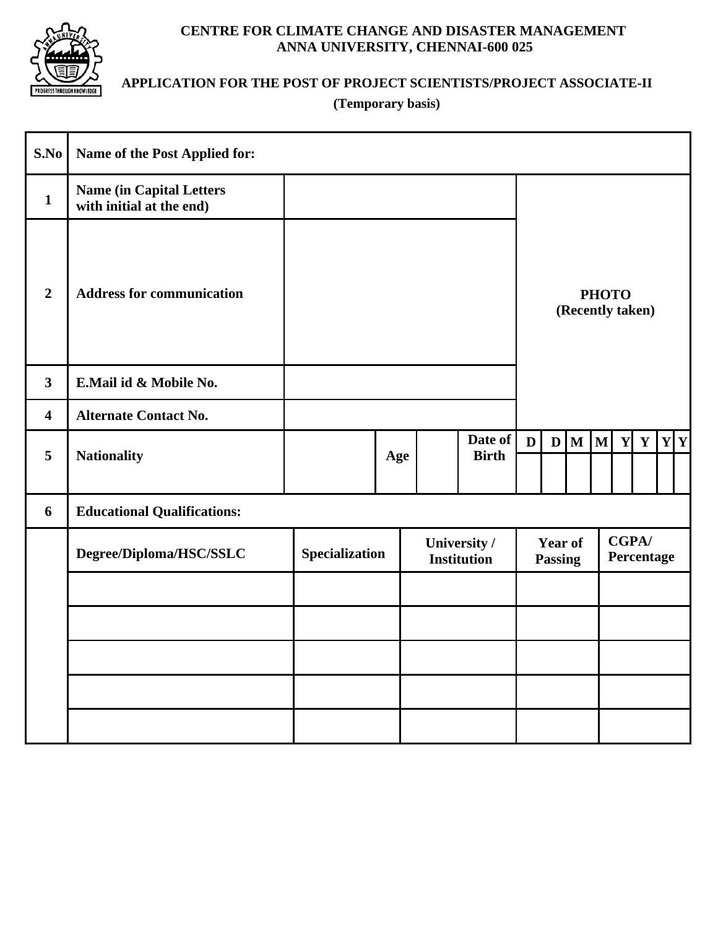

## **CENTRE FOR CLIMATE CHANGE AND DISASTER MANAGEMENT ANNA UNIVERSITY, CHENNAI-600 025**

# **APPLICATION FOR THE POST OF PROJECT SCIENTISTS/PROJECT ASSOCIATE-II**

**(Temporary basis)**

| S.No                    | Name of the Post Applied for:                               |                |     |                                    |                         |                                  |                                  |                         |   |                            |              |  |                              |
|-------------------------|-------------------------------------------------------------|----------------|-----|------------------------------------|-------------------------|----------------------------------|----------------------------------|-------------------------|---|----------------------------|--------------|--|------------------------------|
| $\mathbf{1}$            | <b>Name (in Capital Letters</b><br>with initial at the end) |                |     |                                    |                         |                                  |                                  |                         |   |                            |              |  |                              |
| $\overline{2}$          | <b>Address for communication</b>                            |                |     |                                    |                         |                                  | <b>PHOTO</b><br>(Recently taken) |                         |   |                            |              |  |                              |
| $\mathbf{3}$            | E.Mail id & Mobile No.                                      |                |     |                                    |                         |                                  |                                  |                         |   |                            |              |  |                              |
| $\overline{\mathbf{4}}$ | <b>Alternate Contact No.</b>                                |                |     |                                    |                         |                                  |                                  |                         |   |                            |              |  |                              |
| 5                       | <b>Nationality</b>                                          |                | Age |                                    | Date of<br><b>Birth</b> | $\mathbf{D}$                     |                                  | $\mathbf{D} \mathbf{M}$ | M | Y                          | $\mathbf{Y}$ |  | $\mathbf{Y} \mid \mathbf{Y}$ |
| 6                       | <b>Educational Qualifications:</b>                          |                |     |                                    |                         |                                  |                                  |                         |   |                            |              |  |                              |
|                         | Degree/Diploma/HSC/SSLC                                     | Specialization |     | University /<br><b>Institution</b> |                         | <b>Year of</b><br><b>Passing</b> |                                  |                         |   | <b>CGPA/</b><br>Percentage |              |  |                              |
|                         |                                                             |                |     |                                    |                         |                                  |                                  |                         |   |                            |              |  |                              |
|                         |                                                             |                |     |                                    |                         |                                  |                                  |                         |   |                            |              |  |                              |
|                         |                                                             |                |     |                                    |                         |                                  |                                  |                         |   |                            |              |  |                              |
|                         |                                                             |                |     |                                    |                         |                                  |                                  |                         |   |                            |              |  |                              |
|                         |                                                             |                |     |                                    |                         |                                  |                                  |                         |   |                            |              |  |                              |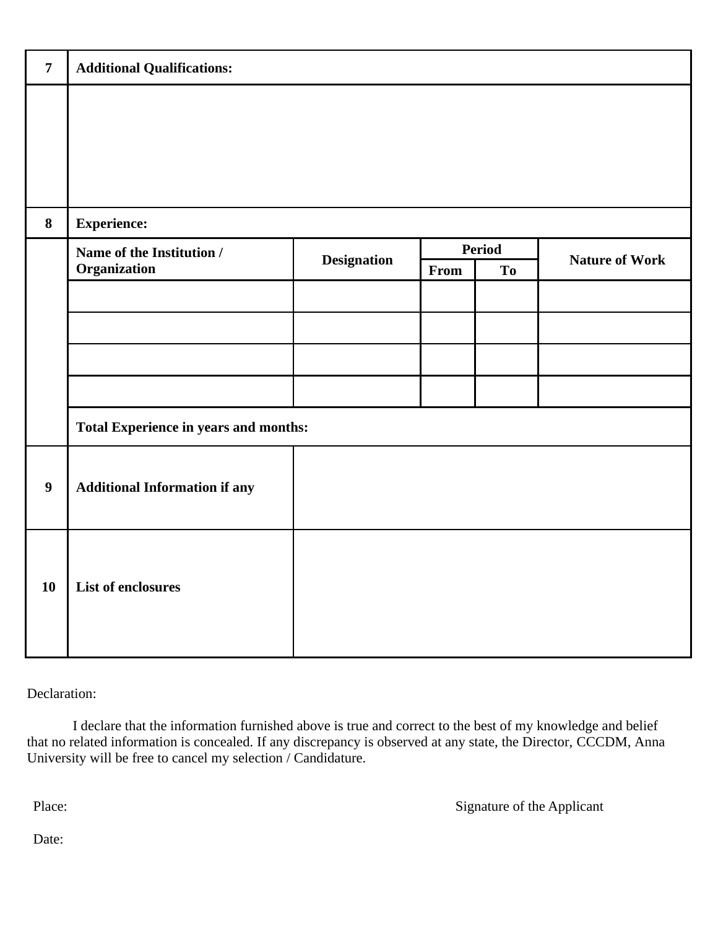| $\overline{7}$   | <b>Additional Qualifications:</b>     |                    |      |               |                       |  |  |
|------------------|---------------------------------------|--------------------|------|---------------|-----------------------|--|--|
|                  |                                       |                    |      |               |                       |  |  |
|                  |                                       |                    |      |               |                       |  |  |
| 8                | <b>Experience:</b>                    |                    |      |               |                       |  |  |
|                  | Name of the Institution /             | <b>Designation</b> |      | <b>Period</b> | <b>Nature of Work</b> |  |  |
|                  | Organization                          |                    | From | <b>To</b>     |                       |  |  |
|                  |                                       |                    |      |               |                       |  |  |
|                  |                                       |                    |      |               |                       |  |  |
|                  |                                       |                    |      |               |                       |  |  |
|                  |                                       |                    |      |               |                       |  |  |
|                  | Total Experience in years and months: |                    |      |               |                       |  |  |
| $\boldsymbol{9}$ | <b>Additional Information if any</b>  |                    |      |               |                       |  |  |
|                  |                                       |                    |      |               |                       |  |  |
| 10               | List of enclosures                    |                    |      |               |                       |  |  |
|                  |                                       |                    |      |               |                       |  |  |

Declaration:

 I declare that the information furnished above is true and correct to the best of my knowledge and belief that no related information is concealed. If any discrepancy is observed at any state, the Director, CCCDM, Anna University will be free to cancel my selection / Candidature.

Place: Signature of the Applicant

Date: